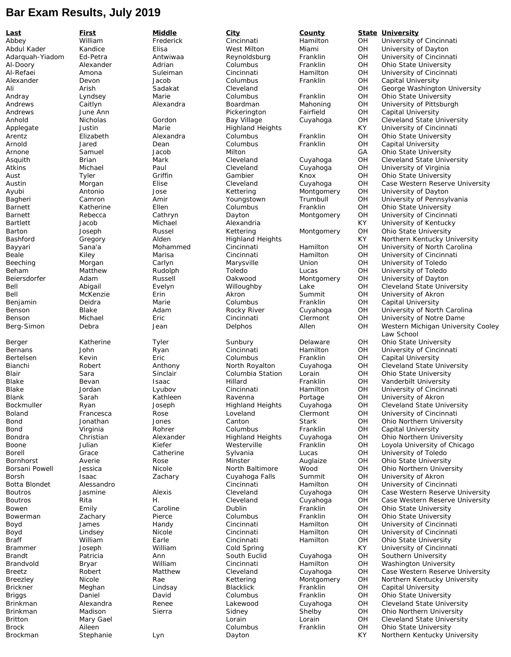## **Bar Exam Results, July 2019**

**Last First Middle City County State University** Abbey William Frederick Cincinnati Hamilton OH University of Cincinnati Abdul Kader Kandice Elisa West Milton Miami OH University of Dayton Reynoldsburg Franklin OH University of Cincinnati<br>Columbus Franklin OH Ohio State University Al-Doory Alexander Adrian Columbus Franklin OH Ohio State University Al-Refaei Amona Suleiman Cincinnati Hamilton OH University of Cincinnati Alexander Devon Jacob Columbus Franklin OH Capital University Ali Arish Sadakat Cleveland Clemental OH George Washington University<br>Andray Columbus Columbus Contains of Dhio State University **Ohio State University** Andrews Caitlyn Alexandra Boardman Mahoning OH University of Pittsburgh Andrews June Ann Pickerington Fairfield OH Capital University Anhold Micholas Gordon Bay Village Cuyahoga OH Cleveland State University Applegate Justin Marie Highland Heights KY University of Cincinnati **Ohio State University** Arnold Jared Dean Columbus Franklin OH Capital University Arnone Samuel Jacob Milton Samuel Samuel Jacob Milton State University Asquith Brian Mark Cleveland Cuyahoga OH Cleveland State University Atkins Michael Paul Cleveland Cuyahoga OH University of Virginia Aust Tyler Griffin Gambier Knox OH Ohio State University Austin Morgan Elise Cleveland Cuyahoga OH Case Western Reserve University Ayubi Antonio Jose Kettering Montgomery OH University of Dayton Bagheri Camron Amir Youngstown Trumbull OH University of Pennsylvania<br>Barnett Katherine Ellen Columbus Franklin OH Ohio State University Barnett Katherine Ellen Columbus Franklin OH Ohio State University Barnett Rebecca Cathryn Dayton Montgomery OH University of Cincinnati Bartlett Jacob Michael Alexandria KY University of Kentucky Barton Joseph Russel Kettering Montgomery OH Ohio State University Bashford Gregory Alden Highland Heights KY Northern Kentucky University<br>Bayyari Sana'a Mohammed Cincinnati Hamilton OH University of North Carolina Sana'a Mohammed Cincinnati Hamilton OH University of North Carolina<br>
Kiley Marisa Cincinnati Hamilton OH University of Cincinnati Beale Kiley Marisa Cincinnati Hamilton OH University of Cincinnati OH University of Toledo<br>OH University of Toledo Beham Matthew Rudolph Toledo Lucas OH University of Toledo<br>Beiersdorfer Adam Mussell Oakwood Montgomery OH University of Dayton Beiersdorfer Adam Russell Oakwood Montgomery OH University of Dayton Bell Abigail Evelyn Willoughby Lake OH Cleveland State University Bell McKenzie Erin Akron Summit OH University of Akron Benjamin Deidra Marie Columbus Franklin OH Capital University Benson Blake Adam Rocky River Cuyahoga OH University of North Carolina University of Notre Dame Berg-Simon Debra Jean Delphos Allen OH Western Michigan University Cooley Law School Berger **Sunbury Communist Communist Communist Communist Communist Communist Communist Communist Communist Communist Communist Communist Communist Communist Communist Communist Communist Communist Communist Communist Commun** Bernans John Ryan Cincinnati Hamilton OH University of Cincinnati Bertelsen Kevin Eric Columbus Franklin OH Capital University Bianchi Robert Anthony North Royalton Cuyahoga OH Cleveland State University Blair Sara Sinclair Columbia Station Lorain OH Ohio State University Bevan **Isaac** Hillard Franklin OH Vanderbilt University Blake Jordan Lyubov Cincinnati Hamilton OH University of Cincinnati Blank Sarah Kathleen Ravenna Portage OH University of Akron Bockmuller **Ryan** Boseph Highland Heights Cuyahoga OH Cleveland State University Boland Francesca Rose Loveland Clermont OH University of Cincinnati Bond Jonathan Jones Canton Stark OH Ohio Northern University Bond Virginia Rohrer Columbus Franklin OH Capital University Bondra Christian Alexander Highland Heights Cuyahoga OH Ohio Northern University Boone Julian Kiefer Westerville Franklin OH Loyola University of Chicago Borell Grace Catherine Sylvania Lucas OH University of Toledo Bornhorst **Averie** Averie Rose Minster Auglaize OH Ohio State University Borsani Powell Jessica Nicole North Baltimore Wood OH Ohio Northern University Borsh Isaac Zachary Cuyahoga Falls Summit OH University of Akron Botta Blondet Alessandro Cincinnati Hamilton OH University of Cincinnati Boutros Jasmine Alexis Cleveland Cuyahoga OH Case Western Reserve University Boutros Rita H. Cleveland Cuyahoga OH Case Western Reserve University Franklin COH Ohio State University<br>Franklin COH Ohio State University Bowerman Zachary Pierce Columbus Franklin OH Ohio State University Handy Cincinnati Hamilton OH University of Cincinnati<br>
Nicole Cincinnati Hamilton OH University of Cincinnati Boyd Lindsey Nicole Cincinnati Hamilton OH University of Cincinnati Braff **Earle** Cincinnati Hamilton OH Ohio State University Brammer and Joseph and William Cold Spring Cold Spring KY University of Cincinnati Brandt Patricia Ann South Euclid Cuyahoga OH Southern University Brandvold Bryar William Cincinnati Hamilton OH Washington University<br>Breetz Robert Matthew Cleveland Cuyahoga OH Case Western Reserve Breetz **Robert** Matthew Cleveland Cuyahoga OH Case Western Reserve University Breezley Nicole Rae Kettering Montgomery OH Northern Kentucky University Capital University Briggs Daniel David Columbus Franklin OH Ohio State University Brinkman Alexandra Renee Lakewood Cuyahoga OH Cleveland State University Brinkman Madison Sierra Sidney Shelby OH Ohio Northern University Britton Mary Gael Lorain Lorain OH Cleveland State University Brock **Aileen** Aileen **Aileen** Aileen **Columbus** Columbus Franklin OH Ohio State University Brockman Stephanie Lyn Dayton Charles KY Northern Kentucky University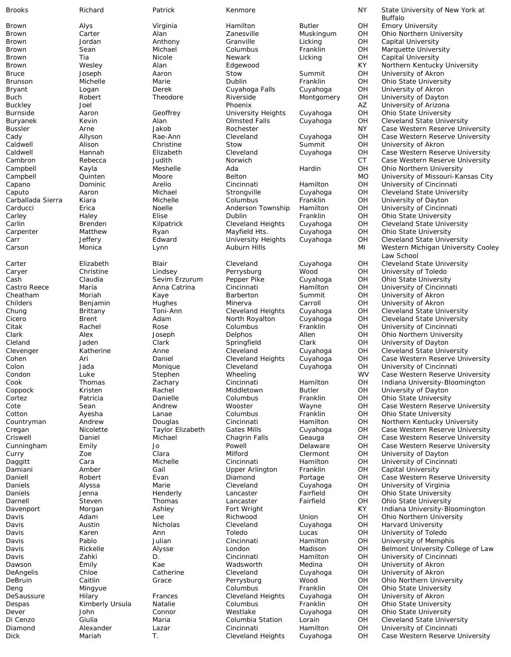Brown Alys Virginia Hamilton Butler OH Emory University Brown Jordan Anthony Granville Licking OH Capital University Brown Sean Michael Columbus Franklin OH Marquette University Brown Tia Nicole Newark Licking OH Capital University Bruce Joseph Aaron Stow Summit OH University of Akron Brunson Michelle Marie Dublin Franklin OH Ohio State University Bryant Logan Derek Cuyahoga Falls Cuyahoga OH University of Akron Buch Robert Theodore Riverside Montgomery OH University of Dayton Burnside Aaron Geoffrey University Heights Cuyahoga OH Ohio State University Carballada Sierra Kiara Michelle Columbus Franklin OH University of Dayton Carducci **Erica Example 20** Noelle **Anderson Township Hamilton** OH University of Cincinnati Carley Haley Elise Dublin Franklin OH Ohio State University Carpenter Matthew Ryan Mayfield Hts. Cuyahoga OH Ohio State University Caryer Christine Lindsey Perrysburg Wood OH University of Toledo Cash Claudia Sevim Erzurum Pepper Pike Cuyahoga OH Ohio State University Castro Reece Maria Anna Catrina Cincinnati Hamilton OH University of Cincinnati Cheatham Moriah Kaye Barberton Summit OH University of Akron Childers Benjamin Hughes Minerva Carroll OH University of Akron Cleland Jaden Clark Springfield Clark OH University of Dayton Cortez Patricia Danielle Columbus Franklin OH Ohio State University Cotton **Columbus** Ayesha Lanae Columbus Franklin OH Ohio State University Curry **CLACT 200** 20e Clara Milford Clermont OH University of Dayton Damiani Amber Gail Upper Arlington Franklin OH Capital University Daniels Alyssa Marie Cleveland Cuyahoga OH University of Virginia Daniels Jenna Henderly Lancaster Fairfield OH Ohio State University Darnell Steven Steven Thomas Lancaster Fairfield OH Ohio State University<br>Cavenport Morgan Morgan Ashley Fort Wright State Christ KY Indiana University-Blo Davis Austin Nicholas Cleveland Cuyahoga OH Harvard University Davis Karen Ann Toledo Lucas OH University of Toledo Davis Pablo Julian Cincinnati Hamilton OH University of Memphis Dawson Emily Kae Wadsworth Medina OH University of Akron DeAngelis Chloe Catherine Cleveland Cuyahoga OH University of Akron Deng Mingyue Columbus Franklin OH Ohio State University DeSaussure Hilary Frances Cleveland Heights Cuyahoga OH University of Akron Despas Kimberly Ursula Natalie Columbus Franklin OH Ohio State University Dever John Connor Westlake Cuyahoga OH Ohio State University

Brooks **Richard** Patrick Kenmore NY State University of New York at Archives Archives Archives Archives Archives A Buffalo Brown Carter Alan Zanesville Muskingum OH Ohio Northern University Brown Wesley Alan Edgewood KY Northern Kentucky University Phoenix<br>
University Heights Cuyahoga COH Ohio State University Buryanek Kevin Alan Olmsted Falls Cuyahoga OH Cleveland State University Bussler Arne Jakob Rochester NY Case Western Reserve University Cady Allyson Rae-Ann Cleveland Cuyahoga OH Case Western Reserve University University of Akron Caldwell Hannah Elizabeth Cleveland Cuyahoga OH Case Western Reserve University Cambron Rebecca Judith Norwich CT Case Western Reserve University Campbell Kayla Meshelle Ada Hardin OH Ohio Northern University Campbell Quinten Moore Belton MO University of Missouri-Kansas City Capano Dominic Arelio Cincinnati Hamilton OH University of Cincinnati Caputo Aaron Michael Strongville Cuyahoga OH Cleveland State University Carlin Brenden Kilpatrick Cleveland Heights Cuyahoga OH Cleveland State University Carr Jeffery Edward University Heights Cuyahoga OH Cleveland State University Carson Monica Lynn Auburn Hills Mullet Michigan University Cooley Carson Michigan University Cooley Law School Carter Elizabeth Blair Cleveland Cuyahoga OH Cleveland State University Cuyahoga OH Cleveland State University<br>Cuyahoga OH Cleveland State University Cicero Brent Adam North Royalton Cuyahoga OH Cleveland State University Citak Rachel Rose Columbus Franklin OH University of Cincinnati Clark Alex Joseph Delphos Allen OH Ohio Northern University Clevenger Katherine Anne Cleveland Cuyahoga OH Cleveland State University Cohen Ari Daniel Cleveland Heights Cuyahoga OH Case Western Reserve University Colon Jada Monique Cleveland Cuyahoga OH University of Cincinnati Condon Luke Stephen Wheeling WV Case Western Reserve University Cook Thomas Zachary Cincinnati Hamilton OH Indiana University-Bloomington University of Dayton Cote Sean Sean Andrew Wooster Wayne OH Case Western Reserve University Countryman Andrew Douglas Cincinnati Hamilton OH Northern Kentucky University Cregan Nicolette Taylor Elizabeth Gates Mills Cuyahoga OH Case Western Reserve University Criswell Daniel Michael Chagrin Falls Geauga OH Case Western Reserve University Cunningham Emily Jo Powell Delaware OH Case Western Reserve University Daggitt Cara Michelle Cincinnati Hamilton OH University of Cincinnati Daniell Robert Evan Diamond Portage OH Case Western Reserve University Davenport Morgan Morgan Ashley Fort Wright Christian Michael Ashley Fort Wright Christian Michael Ashley Fort Wright<br>Davis Adam Lee Richwood Union OH Ohio Northern University Lee Richwood Union OH Ohio Northern University Davis Rickelle Alysse London Madison OH Belmont University College of Law Davis Zahki D. Cincinnati Hamilton OH University of Cincinnati Ohio Northern University Di Cenzo Giulia Maria Columbia Station Lorain OH Cleveland State University Diamond Alexander Lazar Cincinnati Hamilton OH University of Cincinnati Dick Mariah T. Cleveland Heights Cuyahoga OH Case Western Reserve University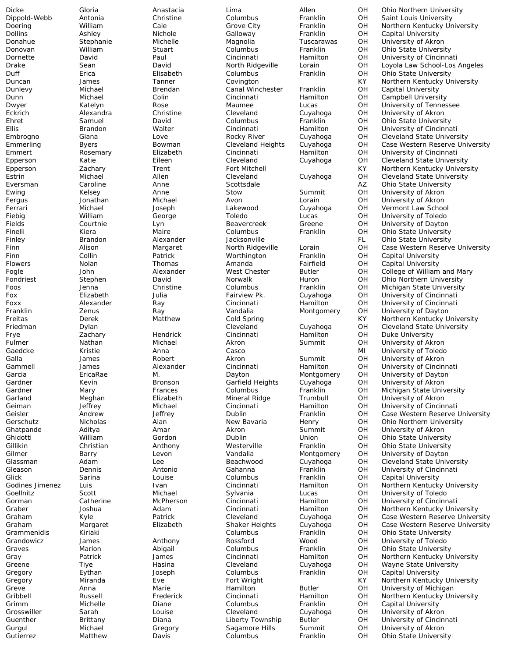Dicke Gloria Anastacia Lima Allen OH Ohio Northern University Dippold-Webb Antonia Christine Columbus Franklin OH Saint Louis University Doering William Cale Grove City Franklin OH Northern Kentucky University Dollins Ashley Nichole Galloway Franklin OH Capital University University of Akron Donovan William Stuart Columbus Franklin OH Ohio State University Dornette David Paul Cincinnati Hamilton OH University of Cincinnati Drake Sean David North Ridgeville Lorain OH Loyola Law School-Los Angeles Duff Erica Elisabeth Columbus Franklin OH Ohio State University Duncan James Tanner Covington KY Northern Kentucky University Dunlevy Michael Brendan Canal Winchester Franklin OH Capital University Dunn Michael Colin Cincinnati Hamilton OH Campbell University<br>Dwyer Katelyn Rose Maumee Lucas OH University of Tennes Lucas **COM** University of Tennessee<br>Cuyahoga OH University of Akron Eckrich Alexandra Christine Cleveland Cuyahoga OH University of Akron Ehret Samuel David Columbus Franklin OH Ohio State University Ellis Brandon Walter Cincinnati Hamilton OH University of Cincinnati Embrogno Giana Love Rocky River Cuyahoga OH Cleveland State University Case Western Reserve University Emmert Rosemary Elizabeth Cincinnati Hamilton OH University of Cincinnati Epperson and Katie and Eileen and Cleveland Cuyahoga OH Cleveland State University<br>Epperson 2achary Trent Fort Mitchell (Epperson KY Northern Kentucky Univers Epperson 2 Zachary Trent Fort Mitchell Trent Fort Mitchell KY Northern Kentucky University<br>The Michael Allen Cleveland Cuyahoga OH Cleveland State University Estrin Michael Allen Cleveland Cuyahoga OH Cleveland State University **Ohio State University** Ewing Kelsey Anne Stow Summit OH University of Akron Fergus 30nathan Michael Avon Lorain OH University of Akron Ferrari Michael Joseph Lakewood Cuyahoga OH Vermont Law School Fiebig **Milliam Ceorge Toledo** Lucas OH University of Toledo Fields Courtnie Lyn Beavercreek Greene OH University of Dayton<br>Finelli Kiera Maire Columbus Franklin OH Ohio State University Finelli Kiera Maire Columbus Franklin OH Ohio State University Finley Brandon Alexander Jacksonville FL Ohio State University Finn **Alison** Margaret North Ridgeville Lorain OH Case Western Reserve University Finn Collin Patrick Worthington Franklin OH Capital University Flowers Nolan Thomas Amanda Fairfield OH Capital University Fogle John Alexander West Chester Butler OH College of William and Mary Fondriest Stephen David Norwalk Huron OH Ohio Northern University<br>Foos Jenna Christine Columbus Franklin OH Michigan State University Foos Jenna Christine Columbus Franklin OH Michigan State University Fox Elizabeth Julia Fairview Pk. Cuyahoga OH University of Cincinnati Foxx Alexander Ray Cincinnati Hamilton OH University of Cincinnati Franklin Vandalia Montgomery OH University of Dayton<br>Matthew Cold Spring Cold Record KY Northern Kentucky U Freitas Derek Matthew Cold Spring KY Northern Kentucky University Extemple of the Cleveland Cleveland Cuyahoga OH Cleveland State University<br>Tachary Cincinnati Hamilton OH Duke University Frye Zachary Hendrick Cincinnati Hamilton OH Duke University Fulmer Nathan Michael Akron Summit OH University of Akron Gaedcke Kristie Anna Casco MI University of Toledo University of Akron Gammell 5 James Alexander Cincinnati Hamilton OH University of Cincinnati<br>Garcia EricaRae M. Davton Davton Montgomery OH University of Davton Garcia EricaRae M. Dayton Montgomery OH University of Dayton Gardner Kevin Bronson Garfield Heights Cuyahoga OH University of Akron Michigan State University Garland Meghan Elizabeth Mineral Ridge Trumbull OH University of Akron Geiman **Jeffrey Michael Cincinnati** Hamilton OH University of Cincinnati Geisler **Andrew Beffrey Dublin** Franklin OH Case Western Reserve University Gerschutz Nicholas Alan New Bavaria Henry OH Ohio Northern University Ghatpande Aditya Amar Akron Summit OH University of Akron Gordon **Dublin** Dublin Union OH Ohio State University Gillikin Christian Anthony Westerville Franklin OH Ohio State University Levon **Barry Vandalia** Montgomery OH University of Dayton Glassman Adam Lee Beachwood Cuyahoga OH Cleveland State University Gleason Dennis Antonio Gahanna Franklin OH University of Cincinnati<br>Glick Sarina Louise Columbus Franklin OH Capital University Glick Sarina Louise Columbus Franklin OH Capital University Godines Jimenez Luis Ivan Cincinnati Hamilton OH Northern Kentucky University Goellnitz Scott Michael Sylvania Lucas OH University of Toledo Gorman Catherine McPherson Cincinnati Hamilton OH University of Cincinnati Graber Joshua Adam Cincinnati Hamilton OH Northern Kentucky University Case Western Reserve University Graham Margaret Elizabeth Shaker Heights Cuyahoga OH Case Western Reserve University Kiriaki **Kiriaki Kiriaki Kiriaki Columbus** Franklin OH Ohio State University Grandowicz James Anthony Rossford Wood OH University of Toledo Graves Marion Abigail Columbus Franklin OH Ohio State University Gray Patrick James Cincinnati Hamilton OH Northern Kentucky University Greene Tiye Hasina Cleveland Cuyahoga OH Wayne State University Gregory Eythan Joseph Columbus Franklin OH Capital University Fort Wright **Even Even COVID EVE Fort Act Wright Covidence** Even Kentucky University<br>
Hamilton **Even Butler** COH University of Michigan Greve **Anna** Marie Hamilton Butler OH University of Michigan Anna Marie Hamilton Gribbell **Subsell Cincinnati** Hamilton OH Northern Kentucky University Grimm Michelle Diane Columbus Franklin OH Capital University Grosswiller Sarah Louise Cleveland Cuyahoga OH University of Akron Guenther Brittany Diana Liberty Township Butler OH University of Cincinnati Gurgul Michael Gregory Sagamore Hills Summit OH University of Akron Gutierrez Matthew Davis Columbus Franklin OH Ohio State University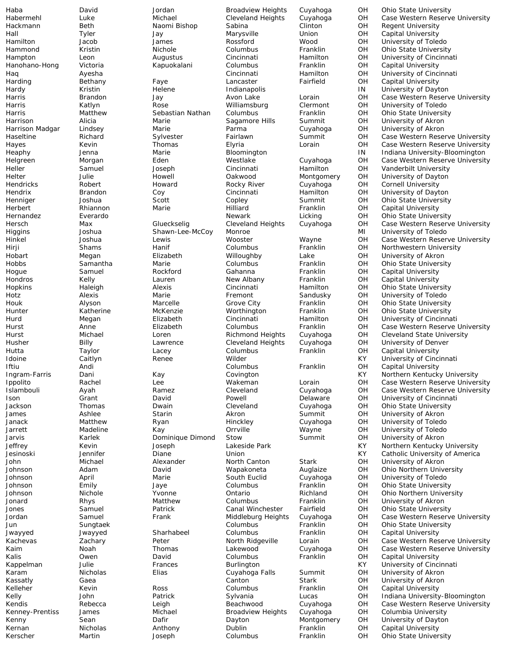Hanohano-Hong Victoria Kapuokalani Columbus Franklin OH Capital University Hogue Samuel Rockford Gahanna Franklin OH Capital University Hondros Kelly Lauren New Albany Franklin OH Capital University Jarvis Karlek Dominique Dimond Stow Summit OH University of Akron Kalis Owen David Columbus Franklin OH Capital University Kernan Nicholas Anthony Dublin Franklin OH Capital University<br>Kerscher Martin Joseph Columbus Franklin OH Ohio State Univer

Haba David Jordan Broadview Heights Cuyahoga OH Ohio State University Habermehl Luke Michael Cleveland Heights Cuyahoga OH Case Western Reserve University Hackmann Beth Naomi Bishop Sabina Clinton OH Regent University Hall Tyler Jay Marysville Union OH Capital University Hamilton Jacob James Rossford Wood OH University of Toledo Hammond Kristin Nichole Columbus Franklin OH Ohio State University<br>Hampton Leon Augustus Cincinnati Hamilton OH University of Cincinna Hampton Leon Augustus Cincinnati Hamilton OH University of Cincinnati Haq Ayesha Cincinnati Hamilton OH University of Cincinnati Harding Bethany Faye Lancaster Fairfield OH Capital University Hardy Kristin Helene Indianapolis IN University of Dayton Harris Brandon Jay Avon Lake Lorain OH Case Western Reserve University Harris Katlyn Rose Williamsburg Clermont OH University of Toledo Harris Matthew Sebastian Nathan Columbus Franklin OH Ohio State University Harrison Alicia Marie Sagamore Hills Summit OH University of Akron Harrison Madgar Lindsey Marie Parma Cuyahoga OH University of Akron Haseltine Richard Sylvester Fairlawn Summit OH Case Western Reserve University Case Western Reserve University Heaphy **South Denna** Marie **Marie Bloomington** IN Indiana University-Bloomington Helgreen Morgan Morgan Eden Westlake Cuyahoga OH Case Western Reserve University<br>Heller Samuel Joseph Cincinnati Hamilton OH Vanderbilt University Heller Samuel Joseph Cincinnati Hamilton OH Vanderbilt University Helter Julie Howell Oakwood Montgomery OH University of Dayton Cornell University Hendrix Brandon Coy Cincinnati Hamilton OH University of Dayton Henniger  $J$ oshua Scott Copley Summit OH Ohio State University Herbert Rhiannon Marie Hilliard Franklin OH Capital University Hernandez Everardo Newark Licking OH Ohio State University Hersch Max Glueckselig Cleveland Heights Cuyahoga OH Case Western Reserve University<br>Cleveland Higgins Joshua Shawn-Lee-McCoy Monroe Minimethal Mil University of Toledo Higgins Joshua Shawn-Lee-McCoy Monroe MI University of Toledo Hinkel Joshua Lewis Wooster Wayne OH Case Western Reserve University Northwestern University Hobart Megan Elizabeth Willoughby Lake OH University of Akron Hobbs Samantha Marie Columbus Franklin OH Ohio State University Hopkins Haleigh Alexis Cincinnati Hamilton OH Ohio State University Hotz Alexis Marie Fremont Sandusky OH University of Toledo Houk Alyson Marcelle Grove City Franklin OH Ohio State University Hunter Katherine McKenzie Worthington Franklin OH Ohio State University Hurd Megan Elizabeth Cincinnati Hamilton OH University of Cincinnati<br>Hurst Anne Elizabeth Columbus Franklin OH Case Western Reserve Hurst Anne Elizabeth Columbus Franklin OH Case Western Reserve University Hurst Michael Loren Richmond Heights Cuyahoga OH Cleveland State University Husher Billy Lawrence Cleveland Heights Cuyahoga OH University of Denver Hutta Taylor Lacey Columbus Franklin OH Capital University KY University of Cincinnati<br>OH Capital University Iftiu Andi Columbus Franklin OH Capital University **Dani** Kay Covington Kay Covington KY Northern Kentucky University Ippolito Rachel Lee Wakeman Lorain OH Case Western Reserve University Case Western Reserve University Ison Grant David Powell Delaware OH University of Cincinnati Jackson Thomas Dwain Cleveland Cuyahoga OH Ohio State University James Ashlee Starin Akron Summit OH University of Akron Janack Matthew Ryan Hinckley Cuyahoga OH University of Toledo Jarrett Madeline Kay Orrville Wayne OH University of Toledo Jeffrey Kevin Joseph Lakeside Park KY Northern Kentucky University Catholic University of America John Michael Alexander North Canton Stark OH University of Akron Johnson Adam David Wapakoneta Auglaize OH Ohio Northern University Johnson April Marie South Euclid Cuyahoga OH University of Toledo Johnson Emily Jaye Columbus Franklin OH Ohio State University Johnson Nichole Yvonne Ontario Richland OH Ohio Northern University Jonard Rhys Matthew Columbus Franklin OH University of Akron Jones Samuel Patrick Canal Winchester Fairfield OH Ohio State University Case Western Reserve University Jun Sungtaek Columbus Franklin OH Ohio State University Jwayyed Jwayyed Sharhabeel Columbus Franklin OH Capital University Kachevas **Example 2** Zachary **Peter** 2 2 North Ridgeville Lorain OH Case Western Reserve University Kaim Noah Thomas Lakewood Cuyahoga OH Case Western Reserve University Kappelman Julie Frances Burlington KY University of Cincinnati Karam Nicholas Elias Cuyahoga Falls Summit OH University of Akron University of Akron Kelleher **Kevin** Ross Columbus Franklin OH Capital University Kelly **Sylvania** Lucas OH Indiana University-Bloomington Patrick Sylvania Lucas OH Indiana University-Bloomington Kendis Rebecca Leigh Beachwood Cuyahoga OH Case Western Reserve University Kenney-Prentiss James Michael Broadview Heights Cuyahoga OH Columbia University Kenny **Sean** Dafir Dafir Dayton Montgomery OH University of Dayton Joseph Columbus Franklin OH Ohio State University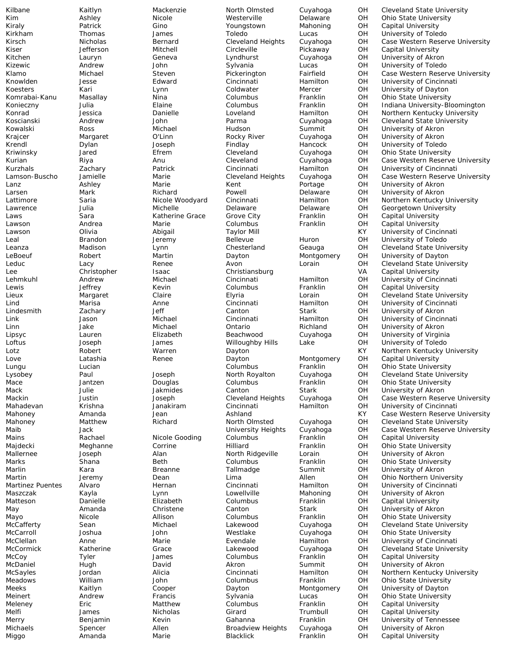Kilbane Kaitlyn Mackenzie North Olmsted Cuyahoga OH Cleveland State University Kim Ashley Nicole Westerville Delaware OH Ohio State University Kiraly Patrick Gino Youngstown Mahoning OH Capital University Kirkham Thomas James Toledo Lucas OH University of Toledo Case Western Reserve University Kiser Jefferson Mitchell Circleville Pickaway OH Capital University Kitchen Lauryn Geneva Lyndhurst Cuyahoga OH University of Akron Andrew John Sylvania Lucas OH University of Toledo<br>Michael Steven Pickerington Fairfield OH Case Western Reser Klamo Michael Steven Pickerington Fairfield OH Case Western Reserve University Knowlden Jesse Edward Cincinnati Hamilton OH University of Cincinnati Koesters Kari Lynn Coldwater Mercer OH University of Dayton Komrabai-Kanu Masallay Nina Columbus Franklin OH Ohio State University OH Indiana University-Bloomington<br>OH Northern Kentucky University Konrad Jessica Danielle Loveland Hamilton OH Northern Kentucky University Koscianski Andrew John Parma Cuyahoga OH Cleveland State University Kowalski Ross Michael Hudson Summit OH University of Akron Krajcer Margaret O'Linn Rocky River Cuyahoga OH University of Akron University of Toledo Kriwinsky **State Jared** Theorem Cleveland Cuyahoga OH Ohio State University Kurian Riya Anu Cleveland Cuyahoga OH Case Western Reserve University Kurzhals Zachary Patrick Cincinnati Hamilton OH University of Cincinnati Lamson-Buscho Jamielle Marie Cleveland Heights Cuyahoga OH Case Western Reserve University<br>Lanz Ashley Marie Kent Portage OH University of Akron Lanz Ashley Marie Kent Portage OH University of Akron Larsen Mark Richard Powell Delaware OH University of Akron Lattimore Saria **Nicole Woodyard Cincinnati** Hamilton OH Northern Kentucky University Lawrence **Sulia** Julia Michelle Michelle Delaware Delaware OH Georgetown University Laws **Sara** Sara Katherine Grace Grove City Franklin OH Capital University Lawson Andrea Marie Columbus Franklin OH Capital University Lawson Olivia Abigail Taylor Mill KY University of Cincinnati Leal Brandon Jeremy Bellevue Huron OH University of Toledo Leanza Madison Lynn Chesterland Geauga OH Cleveland State University LeBoeuf Robert Martin Dayton Montgomery OH University of Dayton Leduc Lacy Renee Avon Lorain OH Cleveland State University Lee Christopher Isaac Christiansburg VA Capital University Lehmkuhl Andrew Michael Cincinnati Hamilton OH University of Cincinnati Lewis Jeffrey Kevin Columbus Franklin OH Capital University Lieux Margaret Claire Elyria Lorain OH Cleveland State University Lind Marisa Anne Cincinnati Hamilton OH University of Cincinnati Lindesmith Canton Stark OH University of Akron Canton Stark OH University of Akron<br>Cincinnati Michael Cincinnati Hamilton OH University of Cincin Link Jason Michael Cincinnati Hamilton OH University of Cincinnati Linn Jake Michael Ontario Richland OH University of Akron Lipsyc Lauren Elizabeth Beachwood Cuyahoga OH University of Virginia Loftus Joseph James Willoughby Hills Lake OH University of Toledo Lotz Robert Warren Dayton KY Northern Kentucky University Dayton **Montgomery** OH Capital University<br>Columbus Franklin OH Ohio State Univer Lungu Lucian Columbus Franklin OH Ohio State University Lysobey Paul Joseph North Royalton Cuyahoga OH Cleveland State University Mace Jantzen Douglas Columbus Franklin OH Ohio State University University of Akron Mackin Justin Joseph Cleveland Heights Cuyahoga OH Case Western Reserve University Mahadevan Krishna Janakiram Cincinnati Hamilton OH University of Cincinnati Mahoney **Amanda** Jean Ashland Ashland KY Case Western Reserve University Mahoney Matthew Richard North Olmsted Cuyahoga OH Cleveland State University Maib Jack University Heights Cuyahoga OH Case Western Reserve University Mains Rachael Nicole Gooding Columbus Franklin OH Capital University Majdecki Meghanne Corrine Hilliard Franklin OH Ohio State University Mallernee Joseph Alan North Ridgeville Lorain OH University of Akron Marks Shana Beth Columbus Franklin OH Ohio State University Kara **Breanne** Tallmadge Summit OH University of Akron Martin Jeremy Dean Lima Allen OH Ohio Northern University Martinez Puentes Alvaro Hernan Cincinnati Hamilton OH University of Cincinnati Maszczak Kayla Lynn Lowellville Mahoning OH University of Akron Matteson **Danielle** Elizabeth Columbus Franklin OH Capital University May Amanda Christene Canton Stark OH University of Akron Mayo Nicole Allison Columbus Franklin OH Ohio State University McCafferty Sean Michael Lakewood Cuyahoga OH Cleveland State University McCarroll Joshua John Westlake Cuyahoga OH Ohio State University McClellan **Anne** Marie Evendale Hamilton OH University of Cincinnati McCormick Katherine Grace Lakewood Cuyahoga OH Cleveland State University McCoy Tyler James Columbus Franklin OH Capital University McDaniel Hugh David Akron Summit OH University of Akron McSayles Jordan Alicia Cincinnati Hamilton OH Northern Kentucky University Ohio State University Meeks Kaitlyn Cooper Dayton Montgomery OH University of Dayton Meinert **Andrew Francis** Sylvania Lucas OH Ohio State University Meleney **Eric** Matthew Columbus Franklin OH Capital University Melfi James Nicholas Girard Trumbull OH Capital University Merry Benjamin Kevin Gahanna Franklin OH University of Tennessee Michaels Spencer Allen Broadview Heights Cuyahoga OH University of Akron Miggo **Amanda** Marie Blacklick Franklin OH Capital University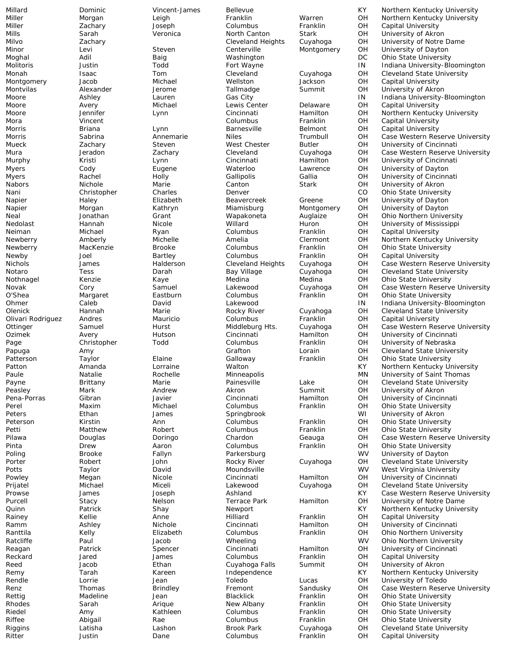Millard Dominic Vincent-James Bellevue KY Northern Kentucky University Miller Morgan Leigh Franklin Warren OH Northern Kentucky University Miller Zachary Joseph Columbus Franklin OH Capital University Mills Sarah Veronica North Canton Stark OH University of Akron Cleveland Heights Cuyahoga OH University of Notre Dame<br>
Centerville Montgomery OH University of Dayton Minor Levi Steven Centerville Montgomery OH University of Dayton Moghal Adil Baig Washington DC Ohio State University Molitoris Justin Todd Fort Wayne IN Indiana University-Bloomington Monah Isaac Tom Cleveland Cuyahoga OH Cleveland State University<br>Montgomery Jacob Michael Wellston Jackson OH Capital University Montgomery Jacob Michael Wellston Jackson OH Capital University<br>Montvilas Mexander Jerome Tallmadge Summit OH University of Akro Montvilas Chexander Alexander Jerome Tallmadge Summit OH University of Akron<br>
Moore Moore Ashlev Lauren Gas City Summit IN Indiana University-Moore Ashley Lauren Gas City IN Indiana University-Bloomington OH Capital University<br>OH Northern Kentuck Moore Jennifer Lynn Cincinnati Hamilton OH Northern Kentucky University Mora Vincent Columbus Franklin OH Capital University Morris Briana Lynn Barnesville Belmont OH Capital University Morris Sabrina Annemarie Niles Trumbull OH Case Western Reserve University University of Cincinnati Mura 1983 Mura Jeradon 2nd Zachary Cleveland Cuyahoga OH Case Western Reserve University Murphy Kristi Lynn Cincinnati Hamilton OH University of Cincinnati Myers Cody Eugene Waterloo Lawrence OH University of Dayton Myers Rachel Holly Gallipolis Gallia OH University of Cincinnati University of Akron Nani Christopher Charles Denver CO Ohio State University Napier **Haley Haley Elizabeth** Beavercreek Greene OH University of Dayton Napier **Morgan** Kathryn Miamisburg Montgomery OH University of Dayton Neal Jonathan Grant Wapakoneta Auglaize OH Ohio Northern University Nedolast Hannah Nicole Willard Huron OH University of Mississippi Neiman Michael Ryan Columbus Franklin OH Capital University Newberry Memberly Michelle Amelia Clermont OH Northern Kentucky University<br>
Newberry MacKenzie Brooke Columbus Franklin OH Ohio State University Newberry MacKenzie Brooke Columbus Franklin OH Ohio State University Newby Joel Bartley Columbus Franklin OH Capital University<br>Nichols James Halderson Cleveland Heights Cuvahoga OH Case Western Res Nichols 30 James Halderson Cleveland Heights Cuyahoga OH Case Western Reserve University<br>Notaro 1995 Tess Darah Bay Village Cuyahoga OH Cleveland State University Notaro Tess Darah Bay Village Cuyahoga OH Cleveland State University Nothnagel Kenzie Kaye Medina Medina OH Ohio State University Novak Cory Samuel Lakewood Cuyahoga OH Case Western Reserve University O'Shea Margaret Eastburn Columbus Franklin OH Ohio State University<br>Ohmer Caleb David Lakewood IN Indiana University-Blo Ohmer Caleb David Lakewood IN Indiana University-Bloomington Olenick Hannah Marie Rocky River Cuyahoga OH Cleveland State University Olivari Rodriguez Andres Mauricio Columbus Franklin OH Capital University Ottinger Samuel Hurst Middleburg Hts. Cuyahoga OH Case Western Reserve University<br>
Ozimek Avery Hutson Cincinnati Hamilton OH University of Cincinnati Ozimek Avery Hutson Cincinnati Hamilton OH University of Cincinnati Page Christopher Todd Columbus Franklin OH University of Nebraska Papuga Amy Grafton Lorain OH Cleveland State University **Patter Chand Chand Chand Chand Chand Chand Chand Chand Chand Chand Chand Chand Chand Chand Chand Chand Chand Chand Chand Chand Chand Chand Chand Chand Chand Chand Chand Chand Chand Chand Chand Chand Chand Chand Chand Chan** Patton Amanda Lorraine Walton KY Northern Kentucky University Paule **Natalie Rochelle Minneapolis** Minneapolis MN University of Saint Thomas Payne Brittany Marie Painesville Lake OH Cleveland State University University of Akron Pena-Porras Gibran Javier Cincinnati Hamilton OH University of Cincinnati<br>Perel Maxim Michael Columbus Franklin OH Ohio State University Perel Maxim Michael Columbus Franklin OH Ohio State University Peters **Ethan** James Springbrook Struck WI University of Akron Peterson Kirstin Ann Columbus Franklin OH Ohio State University Petti Matthew Robert Columbus Franklin OH Ohio State University Pilawa Douglas Doringo Chardon Geauga OH Case Western Reserve University Pinta Drew Aaron Columbus Franklin OH Ohio State University University of Dayton Porter Robert John Rocky River Cuyahoga OH Cleveland State University Potts **Taylor** David Moundsville WV West Virginia University Powley **Megan** Nicole Cincinnati Hamilton OH University of Cincinnati Prijatel Michael Miceli Lakewood Cuyahoga OH Cleveland State University Prowse James Joseph Ashland KY Case Western Reserve University Purcell Stacy Stacy Nelson Terrace Park Hamilton OH University of Notre Dame Quinn Patrick Shay Newport KY Northern Kentucky University Capital University Ramm Ashley Nichole Cincinnati Hamilton OH University of Cincinnati Ranttila Kelly **Elizabeth** Columbus Franklin OH Ohio Northern University Ratcliffe Paul Jacob Wheeling WV Ohio Northern University Reagan Patrick Spencer Cincinnati Hamilton OH University of Cincinnati Reckard Jared James Columbus Franklin OH Capital University Reed Jacob Ethan Cuyahoga Falls Summit OH University of Akron Remy Tarah Kareen Independence KY Northern Kentucky University Rendle Lorrie Jean Toledo Lucas OH University of Toledo Renz Thomas Brindley Fremont Sandusky OH Case Western Reserve University Rettig **Madeline** Jean Blacklick Franklin OH Ohio State University Rhodes Sarah Arique New Albany Franklin OH Ohio State University Riedel **Amy** Kathleen Columbus Franklin OH Ohio State University Riffee Abigail Rae Columbus Franklin OH Ohio State University Riggins Latisha Lashon Brook Park Cuyahoga OH Cleveland State University Ritter **South America Columbus** Franklin OH Capital University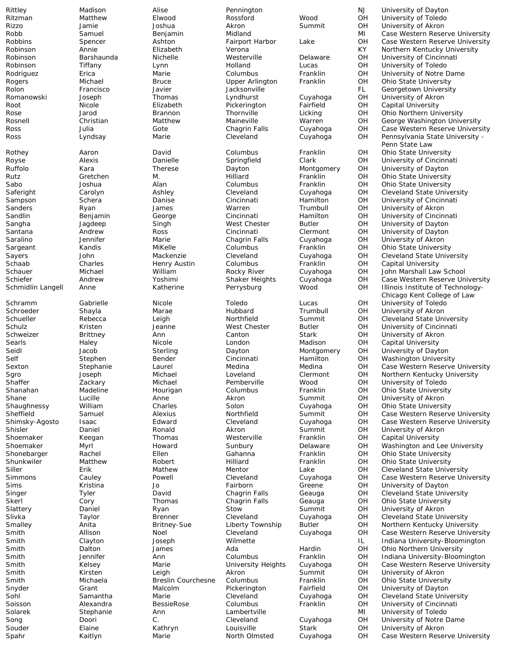Rittley Madison Alise Pennington NJ University of Dayton Ritzman Matthew Elwood Rossford Wood OH University of Toledo Rizzo Jamie Joshua Akron Summit OH University of Akron Robb Samuel Benjamin Midland MI Case Western Reserve University Case Western Reserve University Robinson Annie Elizabeth Verona KY Northern Kentucky University Robinson Barshaunda Nichelle Westerville Delaware OH University of Cincinnati<br>
Robinson Tiffany Lynn Holland Lucas OH University of Toledo Robinson Tiffany Lynn Holland Lucas OH University of Toledo Rodriguez Erica Marie Columbus Franklin OH University of Notre Dame<br>
Rogers
Michael
Bruce
Columbus Franklin
CH
Ohio State University
Columbus Columbus
Columbus
Columbus
Tranklin
CH
Ohio State University
Columbus
Columbus
C Rogers Michael Bruce Upper Arlington Franklin OH Ohio State University Rolon Francisco Javier Jacksonville FL Georgetown University Romanowski Joseph Thomas Lyndhurst Cuyahoga OH University of Akron<br>Root Nicole Elizabeth Pickerington Fairfield OH Capital University OH Capital University<br>OH Ohio Northern Uni Rose Jarod Brannon Thornville Licking OH Ohio Northern University Maineville **Markell Christian Maineville Warren Christian Christian Matthew Matthew Matthew Mainers**<br>Chagrin Falls Cuyahoga OH Case Western Reserve Univers Ross Julia Gote Chagrin Falls Cuyahoga OH Case Western Reserve University Ross Lyndsay Marie Cleveland Cuyahoga OH Pennsylvania State University - Penn State Law Rothey **Aaron David** Columbus Franklin OH Ohio State University Royse Alexis Danielle Springfield Clark OH University of Cincinnati Kara Therese Dayton Montgomery OH University of Dayton Rutz Gretchen M. Hilliard Franklin OH Ohio State University Sabo Joshua Alan Columbus Franklin OH Ohio State University<br>Saferight Carolyn Ashley Cleveland Cuyahoga OH Cleveland State Unive Saferight Carolyn Ashley Cleveland Cuyahoga OH Cleveland State University Sampson Schera Danise Cincinnati Hamilton OH University of Cincinnati Sanders **Ryan** James Warren Trumbull OH University of Akron Sandlin Benjamin George Cincinnati Hamilton OH University of Cincinnati Sangha Jagdeep Singh West Chester Butler OH University of Dayton Andrew **Ross** Cincinnati Clermont OH University of Dayton Saralino Jennifer Marie Chagrin Falls Cuyahoga OH University of Akron Sargeant Kandis MiKelle Columbus Franklin OH Ohio State University Sayers John Mackenzie Cleveland Cuyahoga OH Cleveland State University Schaab Charles Henry Austin Columbus Franklin OH Capital University<br>Schauer Michael William Rocky River Cuyahoga OH John Marshall Lav Schauer Michael William Rocky River Cuyahoga OH John Marshall Law School Schiefer Mandrew Andrew Yoshimi Shaker Heights Cuyahoga OH Case Western Reserve University<br>Schmidlin Langell Anne Katherine Perrysburg Wood OH Illinois Institute of Technology-Illinois Institute of Technology-Chicago Kent College of Law Schramm Gabrielle Nicole Toledo Lucas OH University of Toledo Schroeder Shayla Marae Hubbard Trumbull OH University of Akron Schueller Rebecca Leigh Northfield Summit OH Cleveland State University Schulz Kristen Jeanne West Chester Butler OH University of Cincinnati Schweizer Brittney Ann Canton Stark OH University of Akron Searls Haley Nicole London Madison OH Capital University Seidl Jacob Sterling Dayton Montgomery OH University of Dayton Self Stephen Bender Cincinnati Hamilton OH Washington University Sexton Stephanie Laurel Medina Medina OH Case Western Reserve University Sgro Joseph Michael Loveland Clermont OH Northern Kentucky University Shaffer Zackary Michael Pemberville Wood OH University of Toledo Ohio State University Shane Lucille Anne Akron Summit OH University of Akron Shaughnessy William Charles Solon Cuyahoga OH Ohio State University Sheffield Samuel Alexius Northfield Summit OH Case Western Reserve University Shimsky-Agosto Isaac Edward Cleveland Cuyahoga OH Case Western Reserve University<br>Shisler Daniel Ronald Akron Summit OH University of Akron Shisler **Summit** Daniel **Conald** Akron Summit OH University of Akron Shoemaker Shoemaker **Summit OH** Capital University Conducts Shoemaker Keegan Thomas Westerville Franklin OH Capital University Shoemaker Myrl Myrl Howard Sunbury Delaware OH Washington and Lee University<br>Shonebarger Rachel Shonebarger Ellen Gahanna Franklin OH Ohio State University Shonebarger Rachel **Ellen** Ellen Gahanna Franklin OH Ohio State University Shunkwiler Matthew Robert Hilliard Franklin OH Ohio State University Siller **Erik** Erik Mathew Mentor Lake OH Cleveland State University Simmons Cauley **Cauley** Powell Cleveland Cuyahoga OH Case Western Reserve University Sims Kristina Jo Fairborn Greene OH University of Dayton Singer Tyler David Chagrin Falls Geauga OH Cleveland State University Skerl Cory Thomas Chagrin Falls Geauga OH Ohio State University Slattery Daniel Ryan Stow Summit OH University of Akron Slivka Taylor Brenner Cleveland Cuyahoga OH Cleveland State University Smalley Anita Britney-Sue Liberty Township Butler OH Northern Kentucky University Smith Millison Noel Cleveland Cuyahoga OH Case Western Reserve University Smith Clayton Joseph Wilmette IL Indiana University-Bloomington Smith Dalton James Ada Hardin OH Ohio Northern University Smith Jennifer Ann Columbus Franklin OH Indiana University-Bloomington Smith Kelsey Marie University Heights Cuyahoga OH Case Western Reserve University Smith **Summit** Christen Leigh Akron Summit OH University of Akron<br>Smith Michaela Breslin Courchesne Columbus Franklin OH Ohio State Universi Franklin Michaela OH Ohio State University<br>Tairfield Coll University of Davton Snyder Grant Malcolm Pickerington Fairfield OH University of Dayton Sohl Samantha Marie Cleveland Cuyahoga OH Cleveland State University Soisson Alexandra BessieRose Columbus Franklin OH University of Cincinnati Solarek Stephanie Ann Lambertville MI University of Toledo Song Doori C. Cleveland Cuyahoga OH University of Notre Dame Souder Elaine Kathryn Louisville Stark OH University of Akron Spahr Kaitlyn Marie North Olmsted Cuyahoga OH Case Western Reserve University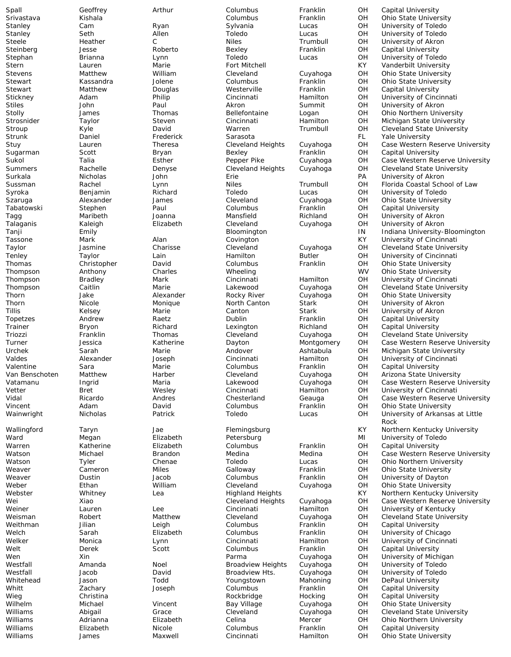Heather

Spall Geoffrey Arthur Columbus Franklin OH Capital University Steinberg Jesse Roberto Bexley Franklin OH Capital University Stewart Matthew Douglas Westerville Franklin OH Capital University Strunk Daniel Frederick Sarasota FL Yale University Sugarman Scott Bryan Bexley Franklin OH Capital University Tabatowski Stephen Paul Columbus Franklin OH Capital University Topetzes Andrew Raetz Dublin Franklin OH Capital University Trainer Bryon Richard Lexington Richland OH Capital University Valentine Sara Marie Columbus Franklin OH Capital University Warren Katherine Elizabeth Columbus Franklin OH Capital University Weithman Jilian Leigh Columbus Franklin OH Capital University Welt Derek Scott Columbus Franklin OH Capital University Whitt Zachary Joseph Columbus Franklin OH Capital University Christina **Michael Christina** Rockbridge Hocking OH Capital University Williams Elizabeth Nicole Columbus Franklin OH Capital University

Srivastava Kishala Columbus Franklin OH Ohio State University Stanley Cam Ryan Sylvania Lucas OH University of Toledo Stanley Seth Allen Toledo Lucas OH University of Toledo University of Akron Stephan Brianna Lynn Toledo Lucas OH University of Toledo Stern Lauren Marie Fort Mitchell KY Vanderbilt University Stevens Matthew William Cleveland Cuyahoga OH Ohio State University Stewart Kassandra Jolene Columbus Franklin OH Ohio State University Stickney Adam Philip Cincinnati Hamilton OH University of Cincinnati Stiles John Paul Akron Summit OH University of Akron Stolly James Thomas Bellefontaine Logan OH Ohio Northern University Strosnider Taylor Steven Cincinnati Hamilton OH Michigan State University<br>Stroup Stroup Cleveland State University<br>Stroup Cleveland State University Stroup Kyle David Warren Trumbull OH Cleveland State University Case Western Reserve University Sukol Talia Esther Pepper Pike Cuyahoga OH Case Western Reserve University Summers Rachelle Denyse Cleveland Heights Cuyahoga OH Cleveland State University Surkala Nicholas John Erie PA University of Akron Sussman **Rachel Cynn** Niles Trumbull OH Florida Coastal School of Law Syroka Benjamin Richard Toledo Lucas OH University of Toledo Szaruga Alexander James Cleveland Cuyahoga OH Ohio State University Tagg Maribeth Joanna Mansfield Richland OH University of Akron Talaganis Kaleigh Elizabeth Cleveland Cuyahoga OH University of Akron Tanji **Emily Emily Emily Bloomington** Bloomington In Indiana University-Bloomington Tassone Mark Alan Covington KY University of Cincinnati Cleveland State University Tenley Taylor Lain Hamilton Butler OH University of Cincinnati Thomas Christopher David Columbus Franklin OH Ohio State University Thompson Mathony Charles Mheeling Wheeling WV Ohio State University<br>
Thompson Bradley Mark Cincinnati Hamilton OH University of Cincinna Thompson Bradley Mark Cincinnati Hamilton OH University of Cincinnati<br>Thompson Caitlin Marie Lakewood Cuyahoga OH Cleveland State Univers Thompson Caitlin Marie Lakewood Cuyahoga OH Cleveland State University Thorn Jake Alexander Rocky River Cuyahoga OH Ohio State University Thorn Christian Micole Monique Morth Canton Stark OH University of Akron<br>Tillis Canton Canton Stark OH University of Akron The Marie Canton Canton Stark OH University of Akron<br>Tillis Kaetz - Dublin Canton Capital University Cantal University Triozzi Franklin Thomas Cleveland Cuyahoga OH Cleveland State University Turner Jessica Katherine Dayton Montgomery OH Case Western Reserve University Urchek Sarah Marie Andover Ashtabula OH Michigan State University OH University of Cincinnati<br>OH Capital University Van Benschoten Matthew Harber Cleveland Cuyahoga OH Arizona State University Vatamanu Ingrid Maria Lakewood Cuyahoga OH Case Western Reserve University<br>Vetter Bret Weslev Cincinnati Hamilton OH University of Cincinnati University of Cincinnati Vidal Ricardo Andres Chesterland Geauga OH Case Western Reserve University Vincent Adam David Columbus Franklin OH Ohio State University Wainwright Nicholas Patrick Toledo Lucas OH University of Arkansas at Little Rock Wallingford Taryn Jae Hemingsburg KY Northern Kentucky University<br>Ward Megan Elizabeth Petersburg Kurtan MI University of Toledo Megan **Elizabeth** Petersburg MI University of Toledo Case Western Reserve University Watson Tyler Chenae Toledo Lucas OH Ohio Northern University Miles Galloway Franklin OH Ohio State University Weaver Dustin Jacob Columbus Franklin OH University of Dayton Weber **Ethan** William Cleveland Cuyahoga OH Ohio State University Webster Whitney Lea Highland Heights KY Northern Kentucky University Wei **Xiao** Xiao Cleveland Heights Cuyahoga OH Case Western Reserve University Weiner Lauren Lee Cincinnati Hamilton OH University of Kentucky Cleveland State University Welch Sarah Elizabeth Columbus Franklin OH University of Chicago Welker Monica Lynn Cincinnati Hamilton OH University of Cincinnati Wen Xin Parma Cuyahoga OH University of Michigan Westfall Amanda Noel Broadview Heights Cuyahoga OH University of Toledo Westfall Jacob David Broadview Hts. Cuyahoga OH University of Toledo DePaul University Wilhelm Michael Vincent Bay Village Cuyahoga OH Ohio State University Williams Mand Abigail Crace Cleveland Cuyahoga OH Cleveland State University Williams Marianna Elizabeth Celina Mercer OH Ohio Northern University James **Maxwell** Cincinnati Hamilton OH Ohio State University